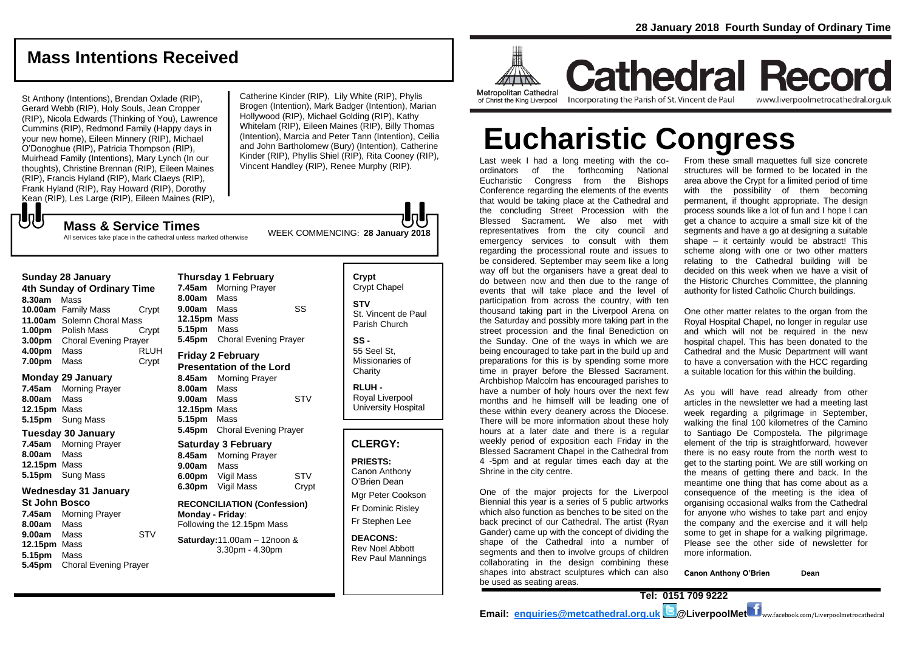## **Mass Intentions Received**

St Anthony (Intentions), Brendan Oxlade (RIP), Gerard Webb (RIP), Holy Souls, Jean Cropper (RIP), Nicola Edwards (Thinking of You), Lawrence Cummins (RIP), Redmond Family (Happy days in your new home), Eileen Minnery (RIP), Michael O'Donoghue (RIP), Patricia Thompson (RIP), Muirhead Family (Intentions), Mary Lynch (In our thoughts), Christine Brennan (RIP), Eileen Maines (RIP), Francis Hyland (RIP), Mark Claeys (RIP), Frank Hyland (RIP), Ray Howard (RIP), Dorothy Kean (RIP), Les Large (RIP), Eileen Maines (RIP),

Catherine Kinder (RIP), Lily White (RIP), Phylis Brogen (Intention), Mark Badger (Intention), Marian Hollywood (RIP), Michael Golding (RIP), Kathy Whitelam (RIP), Eileen Maines (RIP), Billy Thomas (Intention), Marcia and Peter Tann (Intention), Ceilia and John Bartholomew (Bury) (Intention), Catherine Kinder (RIP), Phyllis Shiel (RIP), Rita Cooney (RIP), Vincent Handley (RIP), Renee Murphy (RIP).

WEEK COMMENCING: **<sup>28</sup> January 2018 Mass & Service Times** All services take place in the cathedral unless marked otherwise

#### **Sunday 28 January**

もし

**4th Sunday of Ordinary Time 8.30am** Mass **10.00am** Family Mass Crypt **11.00am** Solemn Choral Mass **1.00pm** Polish Mass Crypt **3.00pm** Choral Evening Prayer **4.00pm** Mass RLUH **7.00pm** Mass Crypt

#### **Monday 29 January**

- **7.45am** Morning Prayer **8.00am** Mass **12.15pm** Mass **5.15pm** Sung Mass **Tuesday 30 January**
- **7.45am** Morning Prayer **8.00am** Mass **12.15pm** Mass **5.15pm** Sung Mass

### **Wednesday 31 January**

- **St John Bosco**
- **7.45am** Morning Prayer **8.00am** Mass **9.00am** Mass STV **12.15pm** Mass **5.15pm** Mass **5.45pm** Choral Evening Prayer

**Thursday 1 February 7.45am** Morning Prayer **8.00am** Mass **9.00am** Mass SS **12.15pm** Mass **5.15pm** Mass **5.45pm** Choral Evening Prayer

#### **Friday 2 February Presentation of the Lord**

**8.45am** Morning Prayer **8.00am** Mass **9.00am** Mass STV **12.15pm** Mass **5.15pm** Mass **5.45pm** Choral Evening Prayer

#### **Saturday 3 February**

**8.45am** Morning Prayer **9.00am** Mass **6.00pm** Vigil Mass STV **6.30pm** Vigil Mass Crypt

**RECONCILIATION (Confession) Monday - Friday**: Following the 12.15pm Mass

#### **Saturday:**11.00am – 12noon & 3.30pm - 4.30pm

**Crypt**  Crypt Chapel **STV** St. Vincent de Paul Parish Church **SS -** 55 Seel St,

Missionaries of **Charity** 

**RLUH -** Royal Liverpool University Hospital

## **CLERGY:**

**PRIESTS:** Canon Anthony O'Brien *Dean*

Mgr Peter Cookson Fr Dominic Risley Fr Stephen Lee

**DEACONS:** Rev Noel Abbott Rev Paul Mannings



**Cathedral Record** Incorporating the Parish of St. Vincent de Paul of Christ the King Liverpool

www.liverpoolmetrocathedral.org.uk

# **Eucharistic Congress**

Last week I had a long meeting with the coordinators of the forthcoming National Eucharistic Congress from the Bishops Conference regarding the elements of the events that would be taking place at the Cathedral and the concluding Street Procession with the Blessed Sacrament. We also met with representatives from the city council and emergency services to consult with them regarding the processional route and issues to be considered. September may seem like a long way off but the organisers have a great deal to do between now and then due to the range of events that will take place and the level of participation from across the country, with ten thousand taking part in the Liverpool Arena on the Saturday and possibly more taking part in the street procession and the final Benediction on the Sunday. One of the ways in which we are being encouraged to take part in the build up and preparations for this is by spending some more time in prayer before the Blessed Sacrament. Archbishop Malcolm has encouraged parishes to have a number of holy hours over the next few months and he himself will be leading one of these within every deanery across the Diocese. There will be more information about these holy hours at a later date and there is a regular weekly period of exposition each Friday in the Blessed Sacrament Chapel in the Cathedral from 4 -5pm and at regular times each day at the Shrine in the city centre.

One of the major projects for the Liverpool Biennial this year is a series of 5 public artworks which also function as benches to be sited on the back precinct of our Cathedral. The artist (Ryan Gander) came up with the concept of dividing the shape of the Cathedral into a number of segments and then to involve groups of children collaborating in the design combining these shapes into abstract sculptures which can also be used as seating areas.

From these small maquettes full size concrete structures will be formed to be located in the area above the Crypt for a limited period of time with the possibility of them becoming permanent, if thought appropriate. The design process sounds like a lot of fun and I hope I can get a chance to acquire a small size kit of the segments and have a go at designing a suitable shape – it certainly would be abstract! This scheme along with one or two other matters relating to the Cathedral building will be decided on this week when we have a visit of the Historic Churches Committee, the planning authority for listed Catholic Church buildings.

One other matter relates to the organ from the Royal Hospital Chapel, no longer in regular use and which will not be required in the new hospital chapel. This has been donated to the Cathedral and the Music Department will want to have a conversation with the HCC regarding a suitable location for this within the building.

As you will have read already from other articles in the newsletter we had a meeting last week regarding a pilgrimage in September, walking the final 100 kilometres of the Camino to Santiago De Compostela. The pilgrimage element of the trip is straightforward, however there is no easy route from the north west to get to the starting point. We are still working on the means of getting there and back. In the meantime one thing that has come about as a consequence of the meeting is the idea of organising occasional walks from the Cathedral for anyone who wishes to take part and enjoy the company and the exercise and it will help some to get in shape for a walking pilgrimage. Please see the other side of newsletter for more information.

**Canon Anthony O'Brien Dean**

**Tel: 0151 709 9222 Email: [enquiries@metcathedral.org.uk](mailto:enquiries@metcathedral.org.uk) | B** @LiverpoolMet **f** ww.facebook.com/Liverpoolmetrocathedral